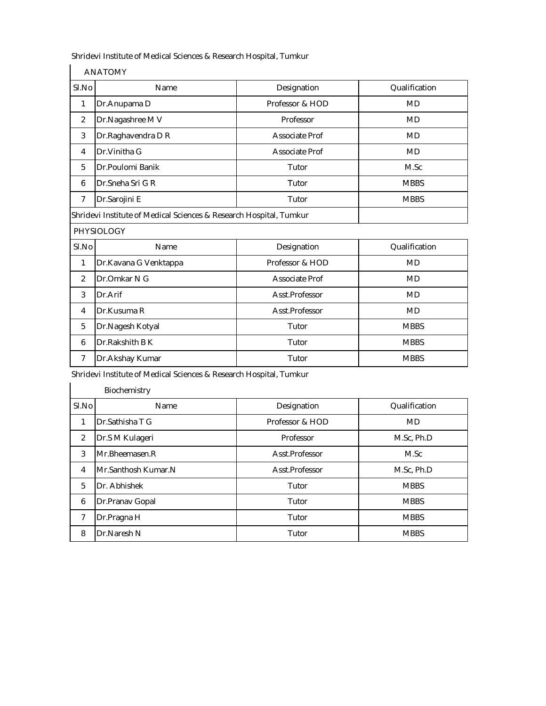|  | <b>ANATOMY</b> |
|--|----------------|
|--|----------------|

| SI.No<br>Name      |                                                                    | Designation     | Qualification |  |
|--------------------|--------------------------------------------------------------------|-----------------|---------------|--|
| 1<br>Dr.Anupama D  |                                                                    | Professor & HOD | MD            |  |
| 2                  | Dr.Nagashree M V                                                   | Professor       | <b>MD</b>     |  |
| 3                  | Dr.Raghavendra D R                                                 | Associate Prof  | <b>MD</b>     |  |
| $\overline{4}$     | Dr. Vinitha G                                                      | Associate Prof  | <b>MD</b>     |  |
| 5                  | Dr.Poulomi Banik                                                   | Tutor           | M.Sc          |  |
| 6                  | Dr.Sneha Sri G R                                                   | Tutor           | <b>MBBS</b>   |  |
| Dr.Sarojini E<br>7 |                                                                    | Tutor           | <b>MBBS</b>   |  |
|                    | Shridevi Institute of Medical Sciences & Research Hospital, Tumkur |                 |               |  |
|                    | <b>PHYSIOLOGY</b>                                                  |                 |               |  |
| SI.No              | Name                                                               | Designation     | Qualification |  |
| 1                  |                                                                    |                 |               |  |
| 2<br>Dr.Omkar N G  |                                                                    | Professor & HOD | <b>MD</b>     |  |
|                    | Dr.Kavana G Venktappa                                              | Associate Prof  | <b>MD</b>     |  |
| 3                  | Dr.Arif                                                            | Asst.Professor  | <b>MD</b>     |  |
| $\overline{4}$     | Dr.Kusuma R                                                        | Asst.Professor  | <b>MD</b>     |  |
| 5                  | Dr.Nagesh Kotyal                                                   | Tutor           | <b>MBBS</b>   |  |

Shridevi Institute of Medical Sciences & Research Hospital, Tumkur<br>I

|                | Biochemistry        |                 |               |
|----------------|---------------------|-----------------|---------------|
| SI.No          | Name                | Designation     | Qualification |
| 1              | Dr.Sathisha T G     | Professor & HOD | <b>MD</b>     |
| 2              | Dr.S M Kulageri     | Professor       | M.Sc, Ph.D    |
| 3              | Mr.Bheemasen.R      | Asst.Professor  | M.Sc          |
| $\overline{4}$ | Mr.Santhosh Kumar.N | Asst.Professor  | M.Sc, Ph.D    |
| 5              | Dr. Abhishek        | Tutor           | <b>MBBS</b>   |
| 6              | Dr.Pranav Gopal     | Tutor           | <b>MBBS</b>   |
| 7              | Dr.Pragna H         | Tutor           | <b>MBBS</b>   |
| 8              | Dr.Naresh N         | Tutor           | <b>MBBS</b>   |

7 Dr.Akshay Kumar **Tutor** Tutor Tutor MBBS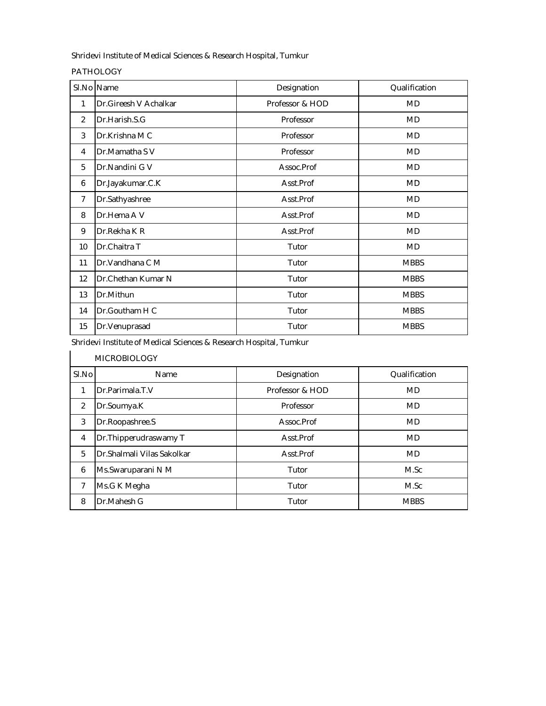PATHOLOGY

|                | SI.No Name            | Designation     | Qualification |
|----------------|-----------------------|-----------------|---------------|
| 1              | Dr.Gireesh V Achalkar | Professor & HOD | MD            |
| $\overline{2}$ | Dr.Harish.S.G         | Professor       | <b>MD</b>     |
| 3              | Dr.Krishna M C        | Professor       | MD            |
| 4              | Dr.Mamatha S V        | Professor       | MD            |
| 5              | Dr.Nandini G V        | Assoc.Prof      | <b>MD</b>     |
| 6              | Dr.Jayakumar.C.K      | Asst.Prof       | MD            |
| 7              | Dr.Sathyashree        | Asst.Prof       | <b>MD</b>     |
| 8              | Dr.Hema A V           | Asst.Prof       | <b>MD</b>     |
| 9              | Dr.Rekha K R          | Asst.Prof       | <b>MD</b>     |
| 10             | Dr.Chaitra T          | Tutor           | <b>MD</b>     |
| 11             | Dr. Vandhana C M      | Tutor           | <b>MBBS</b>   |
| 12             | Dr.Chethan Kumar N    | Tutor           | <b>MBBS</b>   |
| 13             | Dr.Mithun             | Tutor           | <b>MBBS</b>   |
| 14             | Dr.Goutham H C        | Tutor           | <b>MBBS</b>   |
| 15             | Dr.Venuprasad         | Tutor           | <b>MBBS</b>   |

Shridevi Institute of Medical Sciences & Research Hospital, Tumkur

| <b>MICROBIOLOGY</b> |                             |                 |               |  |  |
|---------------------|-----------------------------|-----------------|---------------|--|--|
| SI.No               | Name                        | Designation     | Qualification |  |  |
| 1                   | Dr.Parimala.T.V             | Professor & HOD | <b>MD</b>     |  |  |
| $\overline{2}$      | Dr.Soumya.K                 | Professor       | <b>MD</b>     |  |  |
| 3                   | Dr.Roopashree.S             | Assoc.Prof      | <b>MD</b>     |  |  |
| $\overline{4}$      | Dr. Thipperudraswamy T      | Asst.Prof       | <b>MD</b>     |  |  |
| 5                   | Dr. Shalmali Vilas Sakolkar | Asst.Prof       | <b>MD</b>     |  |  |
| 6                   | Ms.Swaruparani N M          | Tutor           | M.Sc          |  |  |
| 7                   | Ms.G K Megha                | Tutor           | M.Sc          |  |  |
| 8                   | Dr.Mahesh G                 | Tutor           | <b>MBBS</b>   |  |  |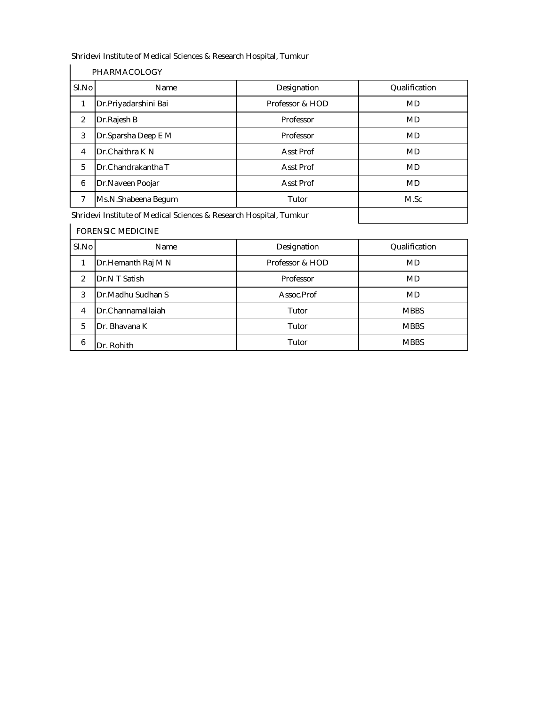|                | PHARMACOLOGY                                                       |                  |               |  |  |  |
|----------------|--------------------------------------------------------------------|------------------|---------------|--|--|--|
| SI.No          | Name                                                               | Designation      | Qualification |  |  |  |
|                | Dr.Priyadarshini Bai                                               | Professor & HOD  | <b>MD</b>     |  |  |  |
| $\overline{2}$ | Dr.Rajesh B                                                        | Professor        | <b>MD</b>     |  |  |  |
| 3              | Dr.Sparsha Deep E M                                                | Professor        | <b>MD</b>     |  |  |  |
| 4              | Dr.Chaithra K N                                                    | <b>Asst Prof</b> | <b>MD</b>     |  |  |  |
| 5              | Dr.Chandrakantha T                                                 | <b>Asst Prof</b> | <b>MD</b>     |  |  |  |
| 6              | Dr.Naveen Poojar                                                   | <b>Asst Prof</b> | MD            |  |  |  |
| 7              | Ms.N.Shabeena Begum                                                | Tutor            | M.Sc          |  |  |  |
|                | Shridevi Institute of Medical Sciences & Research Hospital, Tumkur |                  |               |  |  |  |

Shridevi Institute of Medical Sciences & Research Hospital, Tumkur

|                              | <b>FORENSIC MEDICINE</b> |                 |               |  |  |  |
|------------------------------|--------------------------|-----------------|---------------|--|--|--|
| SI.No<br>Designation<br>Name |                          |                 | Qualification |  |  |  |
|                              | Dr. Hemanth Raj M N      | Professor & HOD | <b>MD</b>     |  |  |  |
| $\mathfrak{p}$               | Dr.N T Satish            | Professor       | <b>MD</b>     |  |  |  |
| 3                            | Dr.Madhu Sudhan S        | Assoc.Prof      | <b>MD</b>     |  |  |  |
| 4                            | Dr.Channamallaiah        | Tutor           | <b>MBBS</b>   |  |  |  |
| 5                            | Dr. Bhavana K            | Tutor           | <b>MBBS</b>   |  |  |  |
| 6                            | Dr. Rohith               | Tutor           | <b>MBBS</b>   |  |  |  |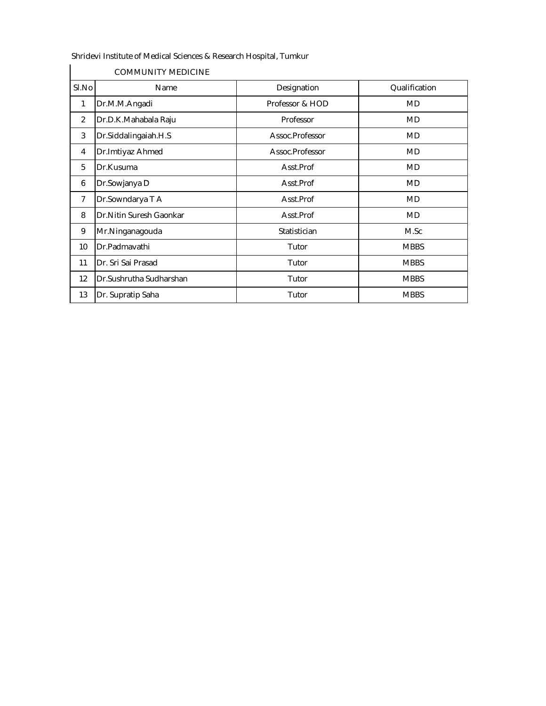| SI.No          | Name                     | Designation     | Qualification |
|----------------|--------------------------|-----------------|---------------|
| $\mathbf{1}$   | Dr.M.M.Angadi            | Professor & HOD | <b>MD</b>     |
| $\overline{2}$ | Dr.D.K.Mahabala Raju     | Professor       | <b>MD</b>     |
| 3              | Dr.Siddalingaiah.H.S     | Assoc.Professor | <b>MD</b>     |
| 4              | Dr.Imtiyaz Ahmed         | Assoc.Professor | MD            |
| 5              | Dr.Kusuma                | Asst.Prof       | <b>MD</b>     |
| 6              | Dr.Sowjanya D            | Asst.Prof       | MD            |
| $\overline{7}$ | Dr.Sowndarya T A         | Asst.Prof       | MD            |
| 8              | Dr. Nitin Suresh Gaonkar | Asst.Prof       | <b>MD</b>     |
| 9              | Mr.Ninganagouda          | Statistician    | M.Sc          |
| 10             | Dr.Padmavathi            | Tutor           | <b>MBBS</b>   |
| 11             | Dr. Sri Sai Prasad       | Tutor           | <b>MBBS</b>   |
| 12             | Dr.Sushrutha Sudharshan  | Tutor           | <b>MBBS</b>   |
| 13             | Dr. Supratip Saha        | Tutor           | <b>MBBS</b>   |

COMMUNITY MEDICINE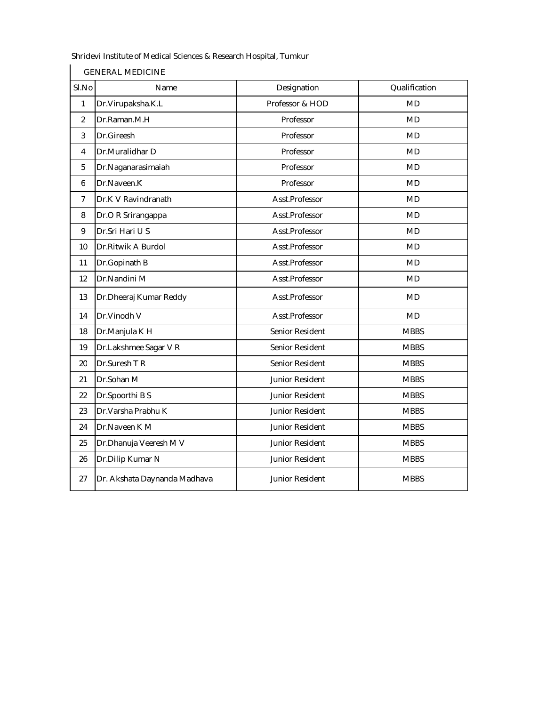GENERAL MEDICINE

| SI.No          | Designation<br>Name          |                 | Qualification |
|----------------|------------------------------|-----------------|---------------|
| $\mathbf{1}$   | Dr.Virupaksha.K.L            | Professor & HOD | <b>MD</b>     |
| $\overline{2}$ | Dr.Raman.M.H                 | Professor       | <b>MD</b>     |
| 3              | Dr.Gireesh                   | Professor       | <b>MD</b>     |
| $\overline{4}$ | Dr.Muralidhar D              | Professor       | <b>MD</b>     |
| 5              | Dr.Naganarasimaiah           | Professor       | <b>MD</b>     |
| 6              | Dr.Naveen.K                  | Professor       | <b>MD</b>     |
| $\overline{7}$ | Dr.K V Ravindranath          | Asst.Professor  | <b>MD</b>     |
| 8              | Dr.O R Srirangappa           | Asst.Professor  | <b>MD</b>     |
| 9              | Dr.Sri Hari U S              | Asst.Professor  | <b>MD</b>     |
| 10             | Dr.Ritwik A Burdol           | Asst.Professor  | <b>MD</b>     |
| 11             | Dr.Gopinath B                | Asst.Professor  | <b>MD</b>     |
| 12             | Dr.Nandini M                 | Asst.Professor  | <b>MD</b>     |
| 13             | Dr.Dheeraj Kumar Reddy       | Asst.Professor  | <b>MD</b>     |
| 14             | Dr.Vinodh V                  | Asst.Professor  | <b>MD</b>     |
| 18             | Dr.Manjula K H               | Senior Resident | <b>MBBS</b>   |
| 19             | Dr.Lakshmee Sagar V R        | Senior Resident | <b>MBBS</b>   |
| 20             | Dr.Suresh T R                | Senior Resident | <b>MBBS</b>   |
| 21             | Dr.Sohan M                   | Junior Resident | <b>MBBS</b>   |
| 22             | Dr.Spoorthi B S              | Junior Resident | <b>MBBS</b>   |
| 23             | Dr. Varsha Prabhu K          | Junior Resident | <b>MBBS</b>   |
| 24             | Dr.Naveen K M                | Junior Resident | <b>MBBS</b>   |
| 25             | Dr. Dhanuja Veeresh M V      | Junior Resident | <b>MBBS</b>   |
| 26             | Dr.Dilip Kumar N             | Junior Resident | <b>MBBS</b>   |
| 27             | Dr. Akshata Daynanda Madhava | Junior Resident | <b>MBBS</b>   |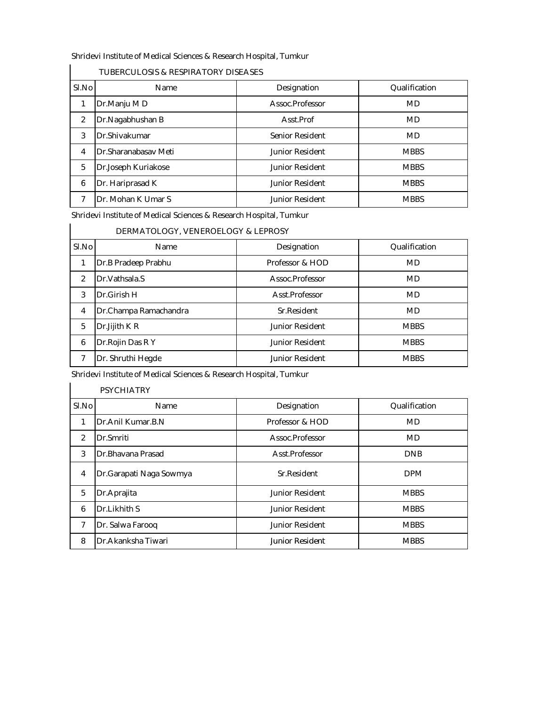| SI.No          | <b>Name</b>          | Designation            | Qualification |
|----------------|----------------------|------------------------|---------------|
|                | Dr.Manju MD          | Assoc.Professor        | MD            |
| 2              | Dr.Nagabhushan B     | Asst.Prof              | <b>MD</b>     |
| 3              | Dr.Shivakumar        | Senior Resident        | <b>MD</b>     |
| $\overline{4}$ | Dr.Sharanabasay Meti | <b>Junior Resident</b> | <b>MBBS</b>   |
| 5              | Dr.Joseph Kuriakose  | <b>Junior Resident</b> | <b>MBBS</b>   |
| 6              | Dr. Hariprasad K     | <b>Junior Resident</b> | <b>MBBS</b>   |
| 7              | Dr. Mohan K Umar S   | <b>Junior Resident</b> | <b>MBBS</b>   |

### TUBERCULOSIS & RESPIRATORY DISEASES

Shridevi Institute of Medical Sciences & Research Hospital, Tumkur

|       | DERMATOLOGY, VENEROELOGY & LEPROSY |                 |               |
|-------|------------------------------------|-----------------|---------------|
| SI.No | Name                               | Designation     | Qualification |
|       | Dr.B Pradeep Prabhu                | Professor & HOD | <b>MD</b>     |
| ി     | Dr. Vathsala.S                     | Assoc.Professor | <b>MD</b>     |
| 3     | Dr.Girish H                        | Asst.Professor  | <b>MD</b>     |
|       | Dr.Champa Ramachandra              | Sr.Resident     | <b>MD</b>     |
| 5     | Dr.Jijith K R                      | Junior Resident | <b>MBBS</b>   |
| 6     | Dr. Rojin Das R Y                  | Junior Resident | <b>MBBS</b>   |
|       | Dr. Shruthi Hegde                  | Junior Resident | <b>MBBS</b>   |

Shridevi Institute of Medical Sciences & Research Hospital, Tumkur<br>  $\frac{1}{2}$ 

|       | <b>PSYCHIATRY</b>       |                        |               |
|-------|-------------------------|------------------------|---------------|
| SI.No | Name                    | Designation            | Qualification |
|       | Dr.Anil Kumar.B.N.      | Professor & HOD        | <b>MD</b>     |
| 2     | Dr.Smriti               | Assoc.Professor        | <b>MD</b>     |
| 3     | Dr.Bhavana Prasad       | Asst.Professor         | <b>DNB</b>    |
| 4     | Dr.Garapati Naga Sowmya | Sr.Resident            | <b>DPM</b>    |
| 5     | Dr.Aprajita             | <b>Junior Resident</b> | <b>MBBS</b>   |
| 6     | Dr.Likhith S            | Junior Resident        | <b>MBBS</b>   |
| 7     | Dr. Salwa Farooq        | Junior Resident        | <b>MBBS</b>   |
| 8     | Dr.Akanksha Tiwari      | Junior Resident        | <b>MBBS</b>   |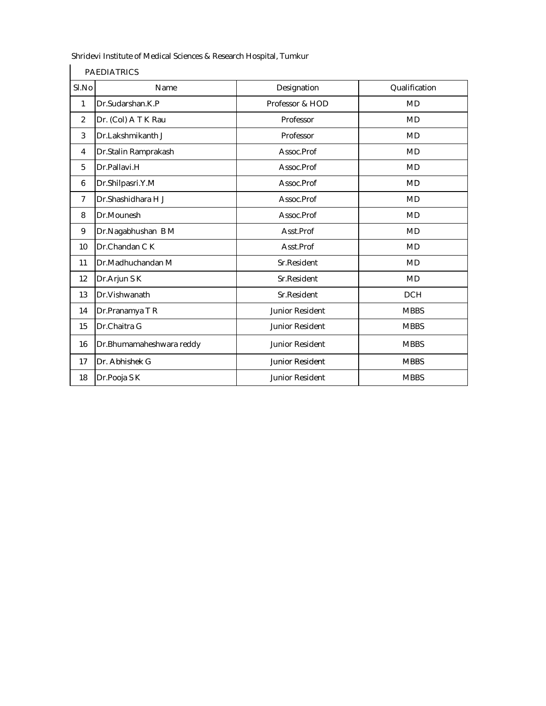| SI.No          | Name                     | Designation            | Qualification |
|----------------|--------------------------|------------------------|---------------|
| 1              | Dr.Sudarshan.K.P         | Professor & HOD        | <b>MD</b>     |
| $\overline{2}$ | Dr. (Col) A T K Rau      | Professor              | <b>MD</b>     |
| 3              | Dr.Lakshmikanth J        | Professor              | <b>MD</b>     |
| 4              | Dr.Stalin Ramprakash     | Assoc.Prof             | <b>MD</b>     |
| 5              | Dr.Pallavi.H             | Assoc.Prof             | <b>MD</b>     |
| 6              | Dr.Shilpasri.Y.M         | Assoc.Prof             | <b>MD</b>     |
| $\overline{7}$ | Dr.Shashidhara H J       | Assoc.Prof             | <b>MD</b>     |
| 8              | Dr.Mounesh               | Assoc.Prof             | <b>MD</b>     |
| 9              | Dr.Nagabhushan B M       | Asst.Prof              | MD            |
| 10             | Dr.Chandan C K           | Asst.Prof              | <b>MD</b>     |
| 11             | Dr.Madhuchandan M        | Sr.Resident            | MD            |
| 12             | Dr.Arjun S K             | Sr.Resident            | <b>MD</b>     |
| 13             | Dr.Vishwanath            | Sr.Resident            | <b>DCH</b>    |
| 14             | Dr.Pranamya T R          | Junior Resident        | <b>MBBS</b>   |
| 15             | Dr.Chaitra G             | Junior Resident        | <b>MBBS</b>   |
| 16             | Dr.Bhumamaheshwara reddy | <b>Junior Resident</b> | <b>MBBS</b>   |
| 17             | Dr. Abhishek G           | <b>Junior Resident</b> | <b>MBBS</b>   |
| 18             | Dr.Pooja S K             | Junior Resident        | <b>MBBS</b>   |

PAEDIATRICS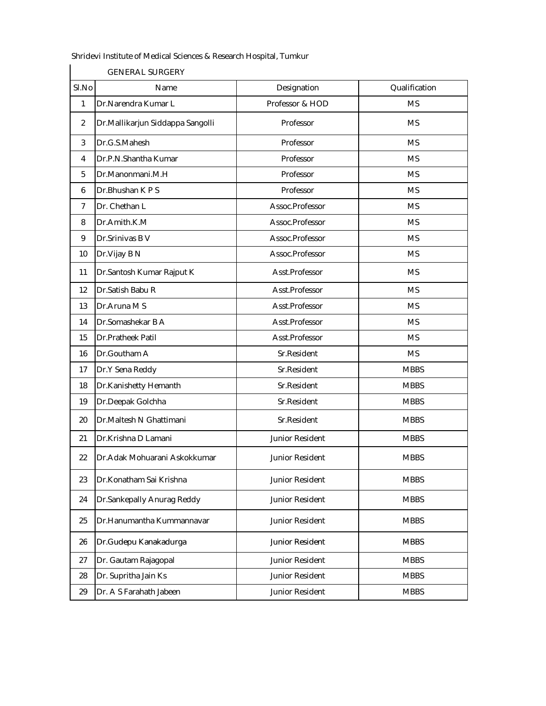GENERAL SURGERY

| SI.No | Name                             | Designation     | Qualification |
|-------|----------------------------------|-----------------|---------------|
| 1     | Dr.Narendra Kumar L              | Professor & HOD | <b>MS</b>     |
| 2     | Dr.Mallikarjun Siddappa Sangolli | Professor       | <b>MS</b>     |
| 3     | Dr.G.S.Mahesh                    | Professor       | <b>MS</b>     |
| 4     | Dr.P.N.Shantha Kumar             | Professor       | <b>MS</b>     |
| 5     | Dr.Manonmani.M.H                 | Professor       | <b>MS</b>     |
| 6     | Dr.Bhushan K P S                 | Professor       | <b>MS</b>     |
| 7     | Dr. Chethan L                    | Assoc.Professor | <b>MS</b>     |
| 8     | Dr.Amith.K.M                     | Assoc.Professor | <b>MS</b>     |
| 9     | Dr.Srinivas B V                  | Assoc.Professor | <b>MS</b>     |
| 10    | Dr.Vijay B N                     | Assoc.Professor | <b>MS</b>     |
| 11    | Dr.Santosh Kumar Rajput K        | Asst.Professor  | <b>MS</b>     |
| 12    | Dr.Satish Babu R                 | Asst.Professor  | <b>MS</b>     |
| 13    | Dr.Aruna M S                     | Asst.Professor  | <b>MS</b>     |
| 14    | Dr.Somashekar B A                | Asst.Professor  | <b>MS</b>     |
| 15    | Dr.Pratheek Patil                | Asst.Professor  | <b>MS</b>     |
| 16    | Dr.Goutham A                     | Sr.Resident     | <b>MS</b>     |
| 17    | Dr.Y Sena Reddy                  | Sr.Resident     | <b>MBBS</b>   |
| 18    | Dr.Kanishetty Hemanth            | Sr.Resident     | <b>MBBS</b>   |
| 19    | Dr.Deepak Golchha                | Sr.Resident     | <b>MBBS</b>   |
| 20    | Dr.Maltesh N Ghattimani          | Sr.Resident     | <b>MBBS</b>   |
| 21    | Dr.Krishna D Lamani              | Junior Resident | <b>MBBS</b>   |
| 22    | Dr.Adak Mohuarani Askokkumar     | Junior Resident | <b>MBBS</b>   |
| 23    | Dr.Konatham Sai Krishna          | Junior Resident | <b>MBBS</b>   |
| 24    | Dr.Sankepally Anurag Reddy       | Junior Resident | <b>MBBS</b>   |
| 25    | Dr.Hanumantha Kummannavar        | Junior Resident | <b>MBBS</b>   |
| 26    | Dr.Gudepu Kanakadurga            | Junior Resident | <b>MBBS</b>   |
| 27    | Dr. Gautam Rajagopal             | Junior Resident | <b>MBBS</b>   |
| 28    | Dr. Supritha Jain Ks             | Junior Resident | <b>MBBS</b>   |
| 29    | Dr. A S Farahath Jabeen          | Junior Resident | <b>MBBS</b>   |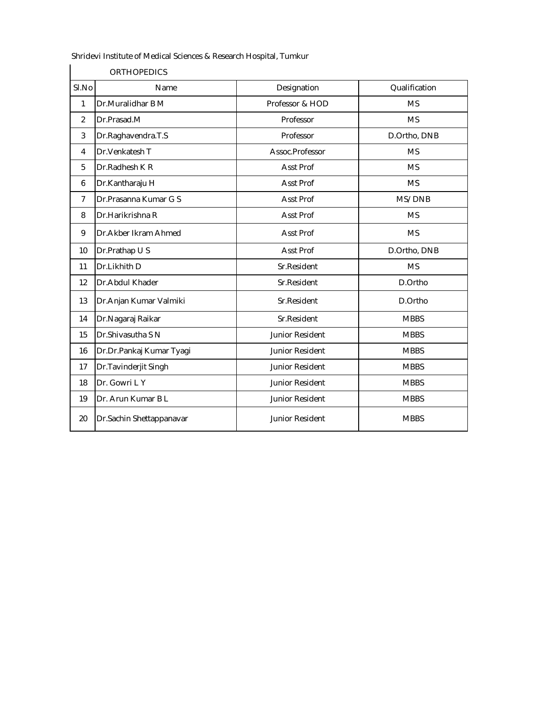|                | <b>ORTHOPEDICS</b>       |                 |               |  |  |
|----------------|--------------------------|-----------------|---------------|--|--|
| SI.No          | Name                     | Designation     | Qualification |  |  |
| 1              | Dr.Muralidhar B M        | Professor & HOD | <b>MS</b>     |  |  |
| $\overline{2}$ | Dr.Prasad.M              | Professor       | <b>MS</b>     |  |  |
| 3              | Dr.Raghavendra.T.S       | Professor       | D.Ortho, DNB  |  |  |
| 4              | Dr.Venkatesh T           | Assoc.Professor | <b>MS</b>     |  |  |
| 5              | Dr.Radhesh K R           | Asst Prof       | <b>MS</b>     |  |  |
| 6              | Dr.Kantharaju H          | Asst Prof       | <b>MS</b>     |  |  |
| $\overline{7}$ | Dr.Prasanna Kumar G S    | Asst Prof       | MS/DNB        |  |  |
| 8              | Dr.Harikrishna R         | Asst Prof       | <b>MS</b>     |  |  |
| 9              | Dr.Akber Ikram Ahmed     | Asst Prof       | <b>MS</b>     |  |  |
| 10             | Dr.Prathap U S           | Asst Prof       | D.Ortho, DNB  |  |  |
| 11             | Dr.Likhith D             | Sr.Resident     | <b>MS</b>     |  |  |
| 12             | Dr.Abdul Khader          | Sr.Resident     | D.Ortho       |  |  |
| 13             | Dr.Anjan Kumar Valmiki   | Sr.Resident     | D.Ortho       |  |  |
| 14             | Dr.Nagaraj Raikar        | Sr.Resident     | <b>MBBS</b>   |  |  |
| 15             | Dr.Shivasutha S N        | Junior Resident | <b>MBBS</b>   |  |  |
| 16             | Dr.Dr.Pankaj Kumar Tyagi | Junior Resident | <b>MBBS</b>   |  |  |
| 17             | Dr.Tavinderjit Singh     | Junior Resident | <b>MBBS</b>   |  |  |
| 18             | Dr. Gowri L Y            | Junior Resident | <b>MBBS</b>   |  |  |
| 19             | Dr. Arun Kumar B L       | Junior Resident | <b>MBBS</b>   |  |  |
| 20             | Dr.Sachin Shettappanavar | Junior Resident | <b>MBBS</b>   |  |  |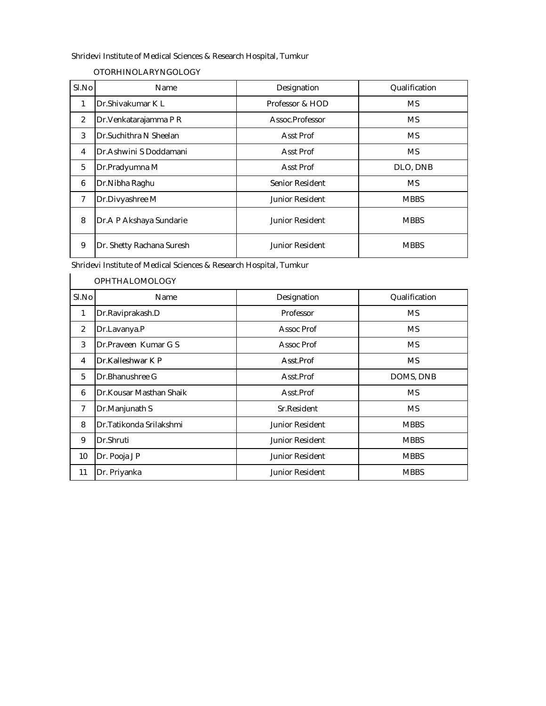#### OTORHINOLARYNGOLOGY

| SI.No | Name                           | Designation      | Qualification |
|-------|--------------------------------|------------------|---------------|
| 1     | Dr. Shivakumar K L             | Professor & HOD  | MS.           |
| 2     | Dr. Venkatarajamma P R         | Assoc.Professor  | MS.           |
| 3     | <b>IDr.Suchithra N Sheelan</b> | Asst Prof        | MS.           |
| 4     | Dr. Ashwini S Doddamani        | <b>Asst Prof</b> | <b>MS</b>     |
| 5     | Dr.Pradyumna M                 | Asst Prof        | DLO, DNB      |
| 6     | Dr. Nibha Raghu                | Senior Resident  | MS.           |
| 7     | Dr.Divyashree M                | Junior Resident  | <b>MBBS</b>   |
| 8     | Dr.A P Akshaya Sundarie        | Junior Resident  | <b>MBBS</b>   |
| 9     | Dr. Shetty Rachana Suresh      | Junior Resident  | <b>MBBS</b>   |

Shridevi Institute of Medical Sciences & Research Hospital, Tumkur<br>  $\begin{bmatrix} 1 & 1 \\ 1 & 1 \end{bmatrix}$ 

|                | <b>OPHTHALOMOLOGY</b>    |                 |               |
|----------------|--------------------------|-----------------|---------------|
| SI.No          | Name                     | Designation     | Qualification |
|                | Dr.Raviprakash.D         | Professor       | <b>MS</b>     |
| $\overline{2}$ | Dr.Lavanya.P             | Assoc Prof      | <b>MS</b>     |
| 3              | Dr.Praveen Kumar G S     | Assoc Prof      | <b>MS</b>     |
| 4              | Dr.Kalleshwar K P        | Asst.Prof       | <b>MS</b>     |
| 5              | <b>IDr.Bhanushree G</b>  | Asst.Prof       | DOMS, DNB     |
| 6              | Dr.Kousar Masthan Shaik  | Asst.Prof       | <b>MS</b>     |
| $\overline{7}$ | Dr.Manjunath S           | Sr.Resident     | <b>MS</b>     |
| 8              | Dr. Tatikonda Srilakshmi | Junior Resident | <b>MBBS</b>   |
| 9              | Dr.Shruti                | Junior Resident | <b>MBBS</b>   |
| 10             | Dr. Pooja J P            | Junior Resident | <b>MBBS</b>   |
| 11             | Dr. Priyanka             | Junior Resident | <b>MBBS</b>   |
|                |                          |                 |               |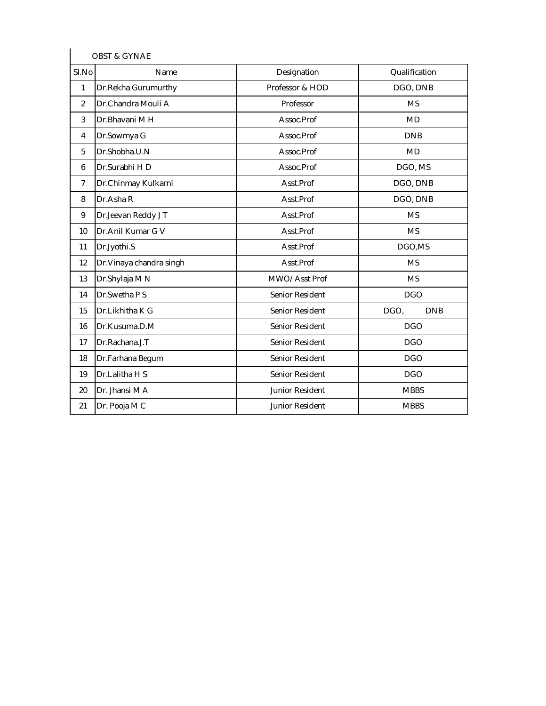|                | <b>OBST &amp; GYNAE</b>  |                 |                    |
|----------------|--------------------------|-----------------|--------------------|
| SI.No          | Name                     | Designation     | Qualification      |
| 1              | Dr.Rekha Gurumurthy      | Professor & HOD | DGO, DNB           |
| $\overline{2}$ | Dr.Chandra Mouli A       | Professor       | <b>MS</b>          |
| 3              | Dr.Bhavani M H           | Assoc.Prof      | <b>MD</b>          |
| 4              | Dr.Sowmya G              | Assoc.Prof      | <b>DNB</b>         |
| 5              | Dr.Shobha.U.N            | Assoc.Prof      | <b>MD</b>          |
| 6              | Dr.Surabhi HD            | Assoc.Prof      | DGO, MS            |
| 7              | Dr.Chinmay Kulkarni      | Asst.Prof       | DGO, DNB           |
| 8              | Dr.Asha R                | Asst.Prof       | DGO, DNB           |
| 9              | Dr.Jeevan Reddy JT       | Asst.Prof       | <b>MS</b>          |
| 10             | Dr.Anil Kumar G V        | Asst.Prof       | <b>MS</b>          |
| 11             | Dr.Jyothi.S              | Asst.Prof       | DGO,MS             |
| 12             | Dr. Vinaya chandra singh | Asst.Prof       | <b>MS</b>          |
| 13             | Dr.Shylaja M N           | MWO/Asst Prof   | <b>MS</b>          |
| 14             | Dr.Swetha P S            | Senior Resident | <b>DGO</b>         |
| 15             | Dr.Likhitha K G          | Senior Resident | DGO,<br><b>DNB</b> |
| 16             | Dr.Kusuma.D.M            | Senior Resident | <b>DGO</b>         |
| 17             | Dr.Rachana.J.T           | Senior Resident | <b>DGO</b>         |
| 18             | Dr.Farhana Begum         | Senior Resident | <b>DGO</b>         |
| 19             | Dr.Lalitha H S           | Senior Resident | <b>DGO</b>         |
| 20             | Dr. Jhansi M A           | Junior Resident | <b>MBBS</b>        |
| 21             | Dr. Pooja M C            | Junior Resident | <b>MBBS</b>        |
|                |                          |                 |                    |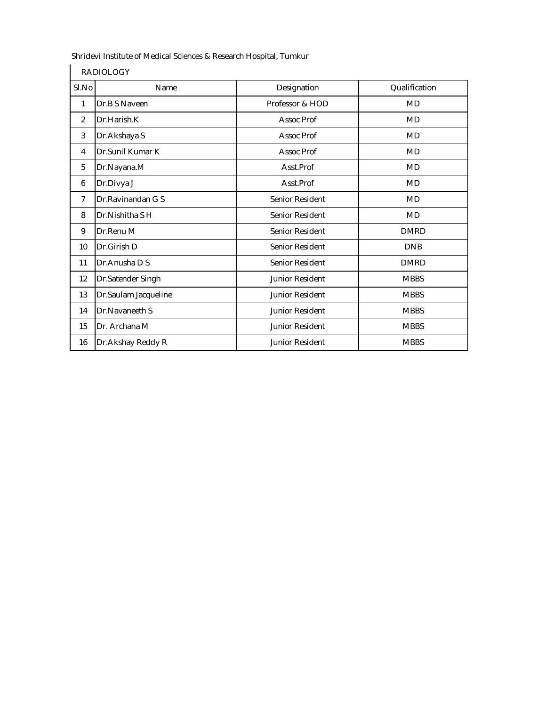| SI.No | Name                 | Designation            | Qualification |
|-------|----------------------|------------------------|---------------|
| 1     | Dr.B S Naveen        | Professor & HOD        | MD            |
| 2     | Dr.Harish.K          | Assoc Prof             | <b>MD</b>     |
| 3     | Dr.Akshaya S         | Assoc Prof             | <b>MD</b>     |
| 4     | Dr.Sunil Kumar K     | Assoc Prof             | <b>MD</b>     |
| 5     | Dr.Nayana.M          | Asst.Prof              | <b>MD</b>     |
| 6     | Dr.Divya J           | Asst.Prof              | MD            |
| 7     | Dr.Ravinandan G S    | Senior Resident        | <b>MD</b>     |
| 8     | Dr.Nishitha SH       | Senior Resident        | <b>MD</b>     |
| 9     | Dr.Renu M            | Senior Resident        | <b>DMRD</b>   |
| 10    | Dr.Girish D          | Senior Resident        | <b>DNB</b>    |
| 11    | Dr. Anusha D S       | Senior Resident        | <b>DMRD</b>   |
| 12    | Dr.Satender Singh    | <b>Junior Resident</b> | <b>MBBS</b>   |
| 13    | Dr.Saulam Jacqueline | Junior Resident        | <b>MBBS</b>   |
| 14    | Dr.Navaneeth S       | Junior Resident        | <b>MBBS</b>   |
| 15    | Dr. Archana M        | Junior Resident        | <b>MBBS</b>   |
| 16    | Dr. Akshay Reddy R   | <b>Junior Resident</b> | <b>MBBS</b>   |

RADIOLOGY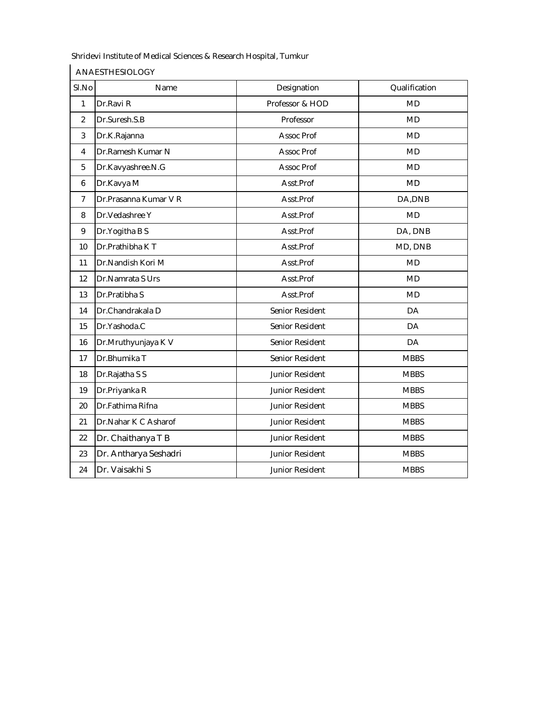ANAESTHESIOLOGY

| SI.No          | Name                  | Designation     | Qualification |
|----------------|-----------------------|-----------------|---------------|
| 1              | Dr.Ravi R             | Professor & HOD | <b>MD</b>     |
| $\overline{2}$ | Dr.Suresh.S.B         | Professor       | <b>MD</b>     |
| 3              | Dr.K.Rajanna          | Assoc Prof      | <b>MD</b>     |
| 4              | Dr.Ramesh Kumar N     | Assoc Prof      | <b>MD</b>     |
| 5              | Dr.Kavyashree.N.G     | Assoc Prof      | <b>MD</b>     |
| 6              | Dr.Kavya M            | Asst.Prof       | <b>MD</b>     |
| $\overline{7}$ | Dr.Prasanna Kumar V R | Asst.Prof       | DA, DNB       |
| 8              | Dr. Vedashree Y       | Asst.Prof       | <b>MD</b>     |
| 9              | Dr.Yogitha B S        | Asst.Prof       | DA, DNB       |
| 10             | Dr.Prathibha KT       | Asst.Prof       | MD, DNB       |
| 11             | Dr.Nandish Kori M     | Asst.Prof       | <b>MD</b>     |
| 12             | Dr.Namrata S Urs      | Asst.Prof       | <b>MD</b>     |
| 13             | Dr.Pratibha S         | Asst.Prof       | <b>MD</b>     |
| 14             | Dr.Chandrakala D      | Senior Resident | DA            |
| 15             | Dr.Yashoda.C          | Senior Resident | <b>DA</b>     |
| 16             | Dr.Mruthyunjaya K V   | Senior Resident | <b>DA</b>     |
| 17             | Dr.Bhumika T          | Senior Resident | <b>MBBS</b>   |
| 18             | Dr.Rajatha S S        | Junior Resident | <b>MBBS</b>   |
| 19             | Dr.Priyanka R         | Junior Resident | <b>MBBS</b>   |
| 20             | Dr.Fathima Rifna      | Junior Resident | <b>MBBS</b>   |
| 21             | Dr.Nahar K C Asharof  | Junior Resident | <b>MBBS</b>   |
| 22             | Dr. Chaithanya T B    | Junior Resident | <b>MBBS</b>   |
| 23             | Dr. Antharya Seshadri | Junior Resident | <b>MBBS</b>   |
| 24             | Dr. Vaisakhi S        | Junior Resident | <b>MBBS</b>   |